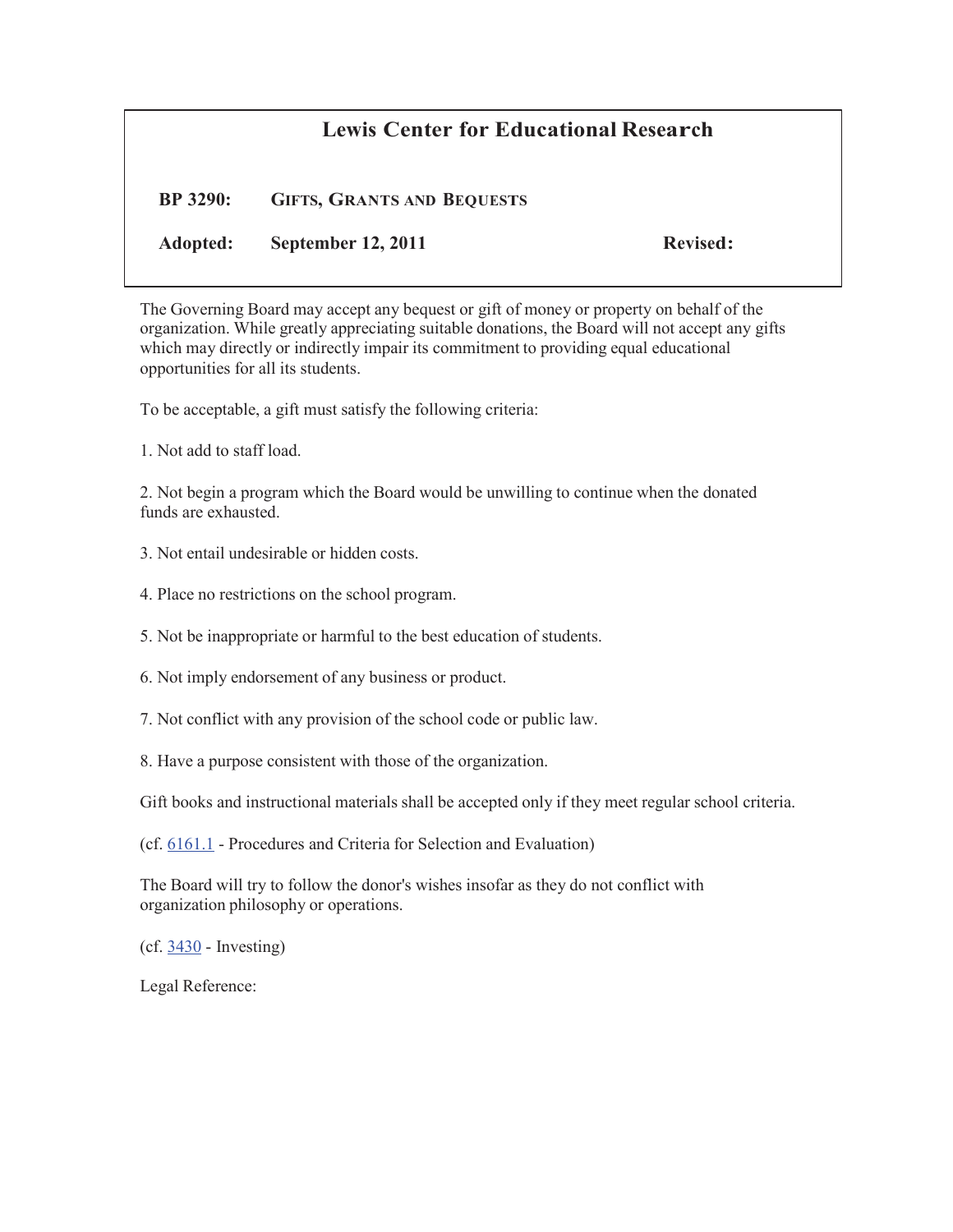## **Lewis Center for Educational Research**

**BP 3290: GIFTS, GRANTS AND BEQUESTS**

**Adopted: September 12, 2011 Revised:**

The Governing Board may accept any bequest or gift of money or property on behalf of the organization. While greatly appreciating suitable donations, the Board will not accept any gifts which may directly or indirectly impair its commitment to providing equal educational opportunities for all its students.

To be acceptable, a gift must satisfy the following criteria:

1. Not add to staff load.

2. Not begin a program which the Board would be unwilling to continue when the donated funds are exhausted.

- 3. Not entail undesirable or hidden costs.
- 4. Place no restrictions on the school program.

5. Not be inappropriate or harmful to the best education of students.

- 6. Not imply endorsement of any business or product.
- 7. Not conflict with any provision of the school code or public law.
- 8. Have a purpose consistent with those of the organization.

Gift books and instructional materials shall be accepted only if they meet regular school criteria.

(cf. 6161.1 - Procedures and Criteria for Selection and Evaluation)

The Board will try to follow the donor's wishes insofar as they do not conflict with organization philosophy or operations.

(cf. 3430 - Investing)

Legal Reference: